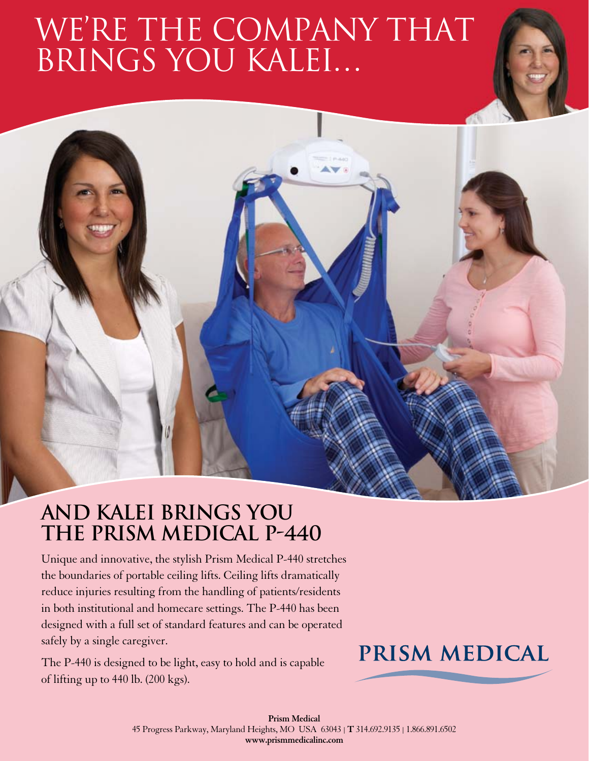# WE'RE THE COMPANY THAT brings you Kalei…

### **AND Kalei BRINGS YOU THE Prism Medical p-440**

Unique and innovative, the stylish Prism Medical P-440 stretches the boundaries of portable ceiling lifts. Ceiling lifts dramatically reduce injuries resulting from the handling of patients/residents in both institutional and homecare settings. The P-440 has been designed with a full set of standard features and can be operated safely by a single caregiver.

The P-440 is designed to be light, easy to hold and is capable of lifting up to 440 lb. (200 kgs).

### **PRISM MEDICAL**

**Prism Medical** 45 Progress Parkway, Maryland Heights, MO USA 63043 | **T** 314.692.9135 | 1.866.891.6502 **www.prismmedicalinc.com**